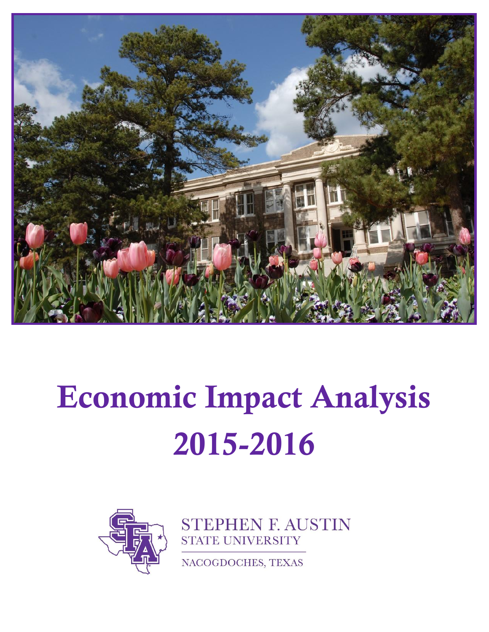

# Economic Impact Analysis 2015-2016



**STEPHEN F. AUSTIN STATE UNIVERSITY** 

NACOGDOCHES, TEXAS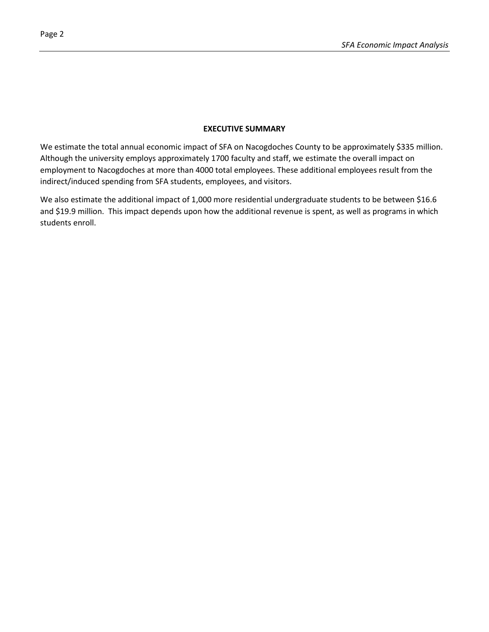#### **EXECUTIVE SUMMARY**

We estimate the total annual economic impact of SFA on Nacogdoches County to be approximately \$335 million. Although the university employs approximately 1700 faculty and staff, we estimate the overall impact on employment to Nacogdoches at more than 4000 total employees. These additional employees result from the indirect/induced spending from SFA students, employees, and visitors.

We also estimate the additional impact of 1,000 more residential undergraduate students to be between \$16.6 and \$19.9 million. This impact depends upon how the additional revenue is spent, as well as programs in which students enroll.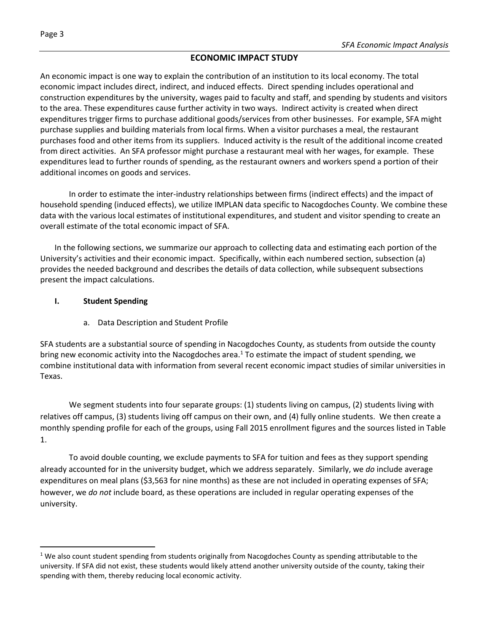# **ECONOMIC IMPACT STUDY**

An economic impact is one way to explain the contribution of an institution to its local economy. The total economic impact includes direct, indirect, and induced effects. Direct spending includes operational and construction expenditures by the university, wages paid to faculty and staff, and spending by students and visitors to the area. These expenditures cause further activity in two ways. Indirect activity is created when direct expenditures trigger firms to purchase additional goods/services from other businesses. For example, SFA might purchase supplies and building materials from local firms. When a visitor purchases a meal, the restaurant purchases food and other items from its suppliers. Induced activity is the result of the additional income created from direct activities. An SFA professor might purchase a restaurant meal with her wages, for example. These expenditures lead to further rounds of spending, as the restaurant owners and workers spend a portion of their additional incomes on goods and services.

In order to estimate the inter-industry relationships between firms (indirect effects) and the impact of household spending (induced effects), we utilize IMPLAN data specific to Nacogdoches County. We combine these data with the various local estimates of institutional expenditures, and student and visitor spending to create an overall estimate of the total economic impact of SFA.

In the following sections, we summarize our approach to collecting data and estimating each portion of the University's activities and their economic impact. Specifically, within each numbered section, subsection (a) provides the needed background and describes the details of data collection, while subsequent subsections present the impact calculations.

# **I. Student Spending**

 $\ddot{\phantom{a}}$ 

a. Data Description and Student Profile

SFA students are a substantial source of spending in Nacogdoches County, as students from outside the county bring new economic activity into the Nacogdoches area.<sup>1</sup> To estimate the impact of student spending, we combine institutional data with information from several recent economic impact studies of similar universities in Texas.

We segment students into four separate groups: (1) students living on campus, (2) students living with relatives off campus, (3) students living off campus on their own, and (4) fully online students. We then create a monthly spending profile for each of the groups, using Fall 2015 enrollment figures and the sources listed in Table 1.

To avoid double counting, we exclude payments to SFA for tuition and fees as they support spending already accounted for in the university budget, which we address separately. Similarly, we *do* include average expenditures on meal plans (\$3,563 for nine months) as these are not included in operating expenses of SFA; however, we *do not* include board, as these operations are included in regular operating expenses of the university.

<sup>&</sup>lt;sup>1</sup> We also count student spending from students originally from Nacogdoches County as spending attributable to the university. If SFA did not exist, these students would likely attend another university outside of the county, taking their spending with them, thereby reducing local economic activity.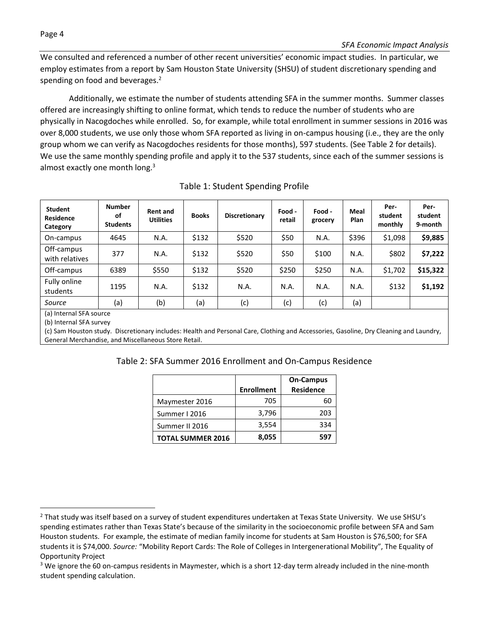Page 4

We consulted and referenced a number of other recent universities' economic impact studies. In particular, we employ estimates from a report by Sam Houston State University (SHSU) of student discretionary spending and spending on food and beverages.<sup>2</sup>

Additionally, we estimate the number of students attending SFA in the summer months. Summer classes offered are increasingly shifting to online format, which tends to reduce the number of students who are physically in Nacogdoches while enrolled. So, for example, while total enrollment in summer sessions in 2016 was over 8,000 students, we use only those whom SFA reported as living in on-campus housing (i.e., they are the only group whom we can verify as Nacogdoches residents for those months), 597 students. (See Table 2 for details). We use the same monthly spending profile and apply it to the 537 students, since each of the summer sessions is almost exactly one month long. $3$ 

| <b>Student</b><br><b>Residence</b><br>Category | <b>Number</b><br>οf<br><b>Students</b> | <b>Rent and</b><br><b>Utilities</b> | <b>Books</b> | Discretionary | Food -<br>retail | Food -<br>grocery | Meal<br>Plan | Per-<br>student<br>monthly | Per-<br>student<br>9-month |
|------------------------------------------------|----------------------------------------|-------------------------------------|--------------|---------------|------------------|-------------------|--------------|----------------------------|----------------------------|
| On-campus                                      | 4645                                   | N.A.                                | \$132        | \$520         | \$50             | N.A.              | \$396        | \$1,098                    | \$9,885                    |
| Off-campus<br>with relatives                   | 377                                    | N.A.                                | \$132        | \$520         | \$50             | \$100             | N.A.         | \$802                      | \$7,222                    |
| Off-campus                                     | 6389                                   | \$550                               | \$132        | \$520         | \$250            | \$250             | N.A.         | \$1,702                    | \$15,322                   |
| Fully online<br>students                       | 1195                                   | N.A.                                | \$132        | N.A.          | N.A.             | N.A.              | N.A.         | \$132                      | \$1,192                    |
| Source<br>(a) Internal CEA cource              | (a)                                    | (b)                                 | (a)          | (c)           | (c)              | (c)               | (a)          |                            |                            |

# Table 1: Student Spending Profile

(a) Internal SFA source

(b) Internal SFA survey

 $\overline{a}$ 

(c) Sam Houston study. Discretionary includes: Health and Personal Care, Clothing and Accessories, Gasoline, Dry Cleaning and Laundry, General Merchandise, and Miscellaneous Store Retail.

|  |  | Table 2: SFA Summer 2016 Enrollment and On-Campus Residence |
|--|--|-------------------------------------------------------------|
|--|--|-------------------------------------------------------------|

|                          |                   | <b>On-Campus</b> |
|--------------------------|-------------------|------------------|
|                          | <b>Enrollment</b> | <b>Residence</b> |
| Maymester 2016           | 705               |                  |
| Summer I 2016            | 3,796             | 203              |
| Summer II 2016           | 3,554             | 334              |
| <b>TOTAL SUMMER 2016</b> | 8,055             | 597              |

<sup>&</sup>lt;sup>2</sup> That study was itself based on a survey of student expenditures undertaken at Texas State University. We use SHSU's spending estimates rather than Texas State's because of the similarity in the socioeconomic profile between SFA and Sam Houston students. For example, the estimate of median family income for students at Sam Houston is \$76,500; for SFA students it is \$74,000. *Source:* "Mobility Report Cards: The Role of Colleges in Intergenerational Mobility", The Equality of Opportunity Project

<sup>&</sup>lt;sup>3</sup> We ignore the 60 on-campus residents in Maymester, which is a short 12-day term already included in the nine-month student spending calculation.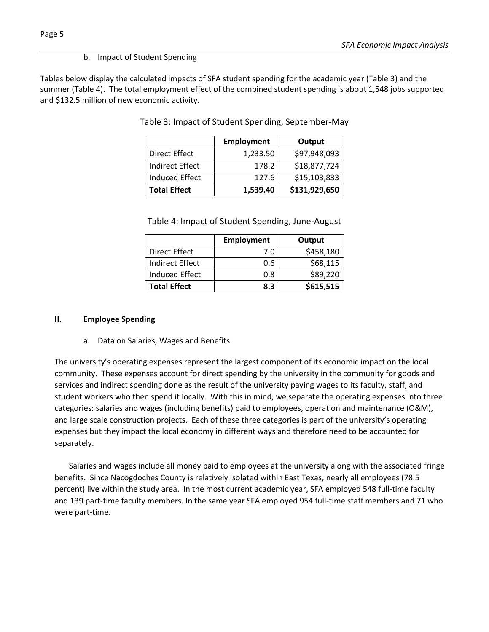# b. Impact of Student Spending

Tables below display the calculated impacts of SFA student spending for the academic year (Table 3) and the summer (Table 4). The total employment effect of the combined student spending is about 1,548 jobs supported and \$132.5 million of new economic activity.

|                        | <b>Employment</b> | Output        |
|------------------------|-------------------|---------------|
| Direct Effect          | 1,233.50          | \$97,948,093  |
| <b>Indirect Effect</b> | 178.2             | \$18,877,724  |
| <b>Induced Effect</b>  | 127.6             | \$15,103,833  |
| <b>Total Effect</b>    | 1,539.40          | \$131,929,650 |

Table 3: Impact of Student Spending, September-May

| Table 4: Impact of Student Spending, June-August |  |  |
|--------------------------------------------------|--|--|
|--------------------------------------------------|--|--|

|                        | <b>Employment</b> | Output    |  |  |
|------------------------|-------------------|-----------|--|--|
| Direct Effect          | 7.0               | \$458,180 |  |  |
| <b>Indirect Effect</b> | 0.6               | \$68,115  |  |  |
| Induced Effect         | 0.8               | \$89,220  |  |  |
| <b>Total Effect</b>    | 8.3               | \$615,515 |  |  |

#### **II. Employee Spending**

a. Data on Salaries, Wages and Benefits

The university's operating expenses represent the largest component of its economic impact on the local community. These expenses account for direct spending by the university in the community for goods and services and indirect spending done as the result of the university paying wages to its faculty, staff, and student workers who then spend it locally. With this in mind, we separate the operating expenses into three categories: salaries and wages (including benefits) paid to employees, operation and maintenance (O&M), and large scale construction projects. Each of these three categories is part of the university's operating expenses but they impact the local economy in different ways and therefore need to be accounted for separately.

Salaries and wages include all money paid to employees at the university along with the associated fringe benefits. Since Nacogdoches County is relatively isolated within East Texas, nearly all employees (78.5 percent) live within the study area. In the most current academic year, SFA employed 548 full-time faculty and 139 part-time faculty members. In the same year SFA employed 954 full-time staff members and 71 who were part-time.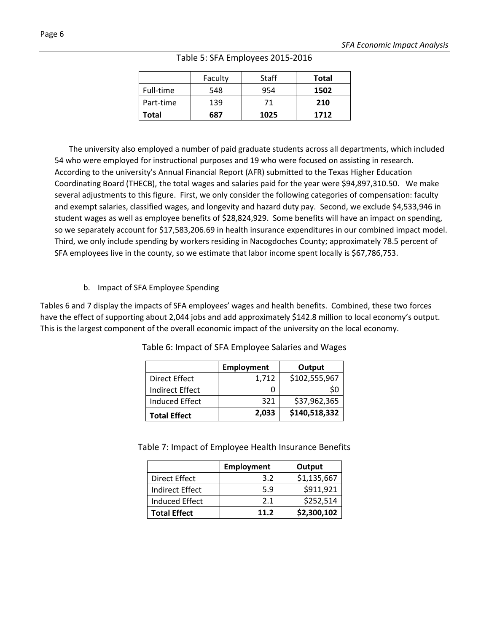|           | Faculty | Staff | Total |
|-----------|---------|-------|-------|
| Full-time | 548     | 954   | 1502  |
| Part-time | 139     | 71    | 210   |
| Total     | 687     | 1025  | 1712  |

Table 5: SFA Employees 2015-2016

The university also employed a number of paid graduate students across all departments, which included 54 who were employed for instructional purposes and 19 who were focused on assisting in research. According to the university's Annual Financial Report (AFR) submitted to the Texas Higher Education Coordinating Board (THECB), the total wages and salaries paid for the year were \$94,897,310.50. We make several adjustments to this figure. First, we only consider the following categories of compensation: faculty and exempt salaries, classified wages, and longevity and hazard duty pay. Second, we exclude \$4,533,946 in student wages as well as employee benefits of \$28,824,929. Some benefits will have an impact on spending, so we separately account for \$17,583,206.69 in health insurance expenditures in our combined impact model. Third, we only include spending by workers residing in Nacogdoches County; approximately 78.5 percent of SFA employees live in the county, so we estimate that labor income spent locally is \$67,786,753.

# b. Impact of SFA Employee Spending

Tables 6 and 7 display the impacts of SFA employees' wages and health benefits. Combined, these two forces have the effect of supporting about 2,044 jobs and add approximately \$142.8 million to local economy's output. This is the largest component of the overall economic impact of the university on the local economy.

|                       | <b>Employment</b> | Output        |
|-----------------------|-------------------|---------------|
| Direct Effect         | 1,712             | \$102,555,967 |
| Indirect Effect       |                   | S0            |
| <b>Induced Effect</b> | 321               | \$37,962,365  |
| <b>Total Effect</b>   | 2,033             | \$140,518,332 |

Table 6: Impact of SFA Employee Salaries and Wages

Table 7: Impact of Employee Health Insurance Benefits

|                        | <b>Employment</b> | Output      |
|------------------------|-------------------|-------------|
| Direct Effect          | 3.2               | \$1,135,667 |
| <b>Indirect Effect</b> | 5.9               | \$911,921   |
| Induced Effect         | 2.1               | \$252,514   |
| <b>Total Effect</b>    | 11.2              | \$2,300,102 |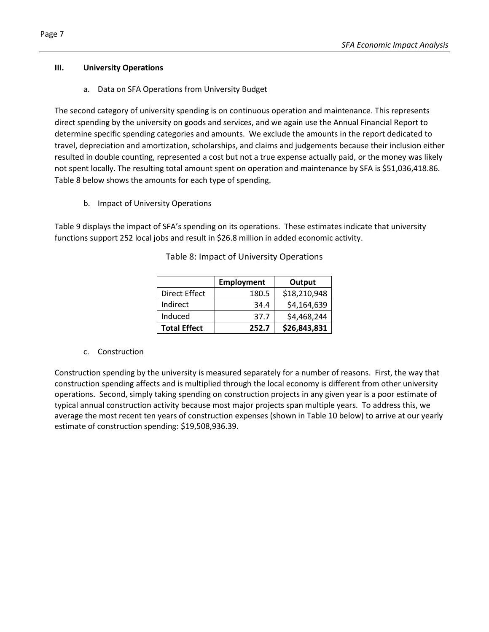#### **III. University Operations**

a. Data on SFA Operations from University Budget

The second category of university spending is on continuous operation and maintenance. This represents direct spending by the university on goods and services, and we again use the Annual Financial Report to determine specific spending categories and amounts. We exclude the amounts in the report dedicated to travel, depreciation and amortization, scholarships, and claims and judgements because their inclusion either resulted in double counting, represented a cost but not a true expense actually paid, or the money was likely not spent locally. The resulting total amount spent on operation and maintenance by SFA is \$51,036,418.86. Table 8 below shows the amounts for each type of spending.

b. Impact of University Operations

Table 9 displays the impact of SFA's spending on its operations. These estimates indicate that university functions support 252 local jobs and result in \$26.8 million in added economic activity.

|                      | Employment | Output       |  |  |
|----------------------|------------|--------------|--|--|
| <b>Direct Effect</b> | 180.5      | \$18,210,948 |  |  |
| Indirect             | 34.4       | \$4,164,639  |  |  |
| Induced              | 37.7       | \$4,468,244  |  |  |
| <b>Total Effect</b>  | 252.7      | \$26,843,831 |  |  |

Table 8: Impact of University Operations

#### c. Construction

Construction spending by the university is measured separately for a number of reasons. First, the way that construction spending affects and is multiplied through the local economy is different from other university operations. Second, simply taking spending on construction projects in any given year is a poor estimate of typical annual construction activity because most major projects span multiple years. To address this, we average the most recent ten years of construction expenses (shown in Table 10 below) to arrive at our yearly estimate of construction spending: \$19,508,936.39.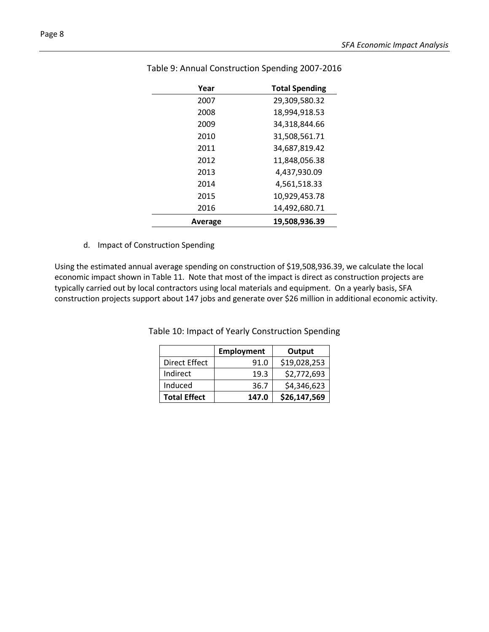| Year    | <b>Total Spending</b> |
|---------|-----------------------|
| 2007    | 29,309,580.32         |
| 2008    | 18,994,918.53         |
| 2009    | 34,318,844.66         |
| 2010    | 31,508,561.71         |
| 2011    | 34,687,819.42         |
| 2012    | 11,848,056.38         |
| 2013    | 4,437,930.09          |
| 2014    | 4,561,518.33          |
| 2015    | 10,929,453.78         |
| 2016    | 14,492,680.71         |
| Average | 19,508,936.39         |

# Table 9: Annual Construction Spending 2007-2016

d. Impact of Construction Spending

Using the estimated annual average spending on construction of \$19,508,936.39, we calculate the local economic impact shown in Table 11. Note that most of the impact is direct as construction projects are typically carried out by local contractors using local materials and equipment. On a yearly basis, SFA construction projects support about 147 jobs and generate over \$26 million in additional economic activity.

> **Employment Output** Direct Effect |  $91.0$  | \$19,028,253 Indirect Induced  $19.3$  \$2,772,693 **Total Effect**  $36.7$  \$4,346,623 **Total Effect 147.0 \$26,147,569**

Table 10: Impact of Yearly Construction Spending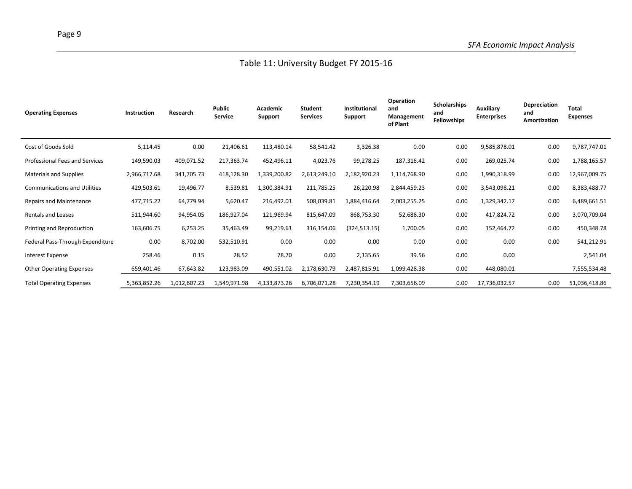| <b>Operating Expenses</b>           | Instruction  | Research     | <b>Public</b><br>Service | Academic<br><b>Support</b> | Student<br><b>Services</b> | Institutional<br>Support | Operation<br>and<br>Management<br>of Plant | <b>Scholarships</b><br>and<br><b>Fellowships</b> | Auxiliary<br><b>Enterprises</b> | Depreciation<br>and<br>Amortization | <b>Total</b><br><b>Expenses</b> |
|-------------------------------------|--------------|--------------|--------------------------|----------------------------|----------------------------|--------------------------|--------------------------------------------|--------------------------------------------------|---------------------------------|-------------------------------------|---------------------------------|
| Cost of Goods Sold                  | 5,114.45     | 0.00         | 21,406.61                | 113,480.14                 | 58,541.42                  | 3,326.38                 | 0.00                                       | 0.00                                             | 9,585,878.01                    | 0.00                                | 9,787,747.01                    |
| Professional Fees and Services      | 149,590.03   | 409,071.52   | 217,363.74               | 452,496.11                 | 4,023.76                   | 99,278.25                | 187,316.42                                 | 0.00                                             | 269,025.74                      | 0.00                                | 1,788,165.57                    |
| Materials and Supplies              | 2,966,717.68 | 341,705.73   | 418,128.30               | 1,339,200.82               | 2,613,249.10               | 2,182,920.23             | 1,114,768.90                               | 0.00                                             | 1,990,318.99                    | 0.00                                | 12,967,009.75                   |
| <b>Communications and Utilities</b> | 429,503.61   | 19,496.77    | 8,539.81                 | 1,300,384.91               | 211,785.25                 | 26,220.98                | 2,844,459.23                               | 0.00                                             | 3,543,098.21                    | 0.00                                | 8,383,488.77                    |
| <b>Repairs and Maintenance</b>      | 477,715.22   | 64,779.94    | 5,620.47                 | 216,492.01                 | 508,039.81                 | 1,884,416.64             | 2,003,255.25                               | 0.00                                             | 1,329,342.17                    | 0.00                                | 6,489,661.51                    |
| <b>Rentals and Leases</b>           | 511,944.60   | 94,954.05    | 186,927.04               | 121,969.94                 | 815,647.09                 | 868,753.30               | 52,688.30                                  | 0.00                                             | 417,824.72                      | 0.00                                | 3,070,709.04                    |
| Printing and Reproduction           | 163,606.75   | 6,253.25     | 35,463.49                | 99,219.61                  | 316,154.06                 | (324, 513.15)            | 1,700.05                                   | 0.00                                             | 152,464.72                      | 0.00                                | 450,348.78                      |
| Federal Pass-Through Expenditure    | 0.00         | 8,702.00     | 532,510.91               | 0.00                       | 0.00                       | 0.00                     | 0.00                                       | 0.00                                             | 0.00                            | 0.00                                | 541,212.91                      |
| Interest Expense                    | 258.46       | 0.15         | 28.52                    | 78.70                      | 0.00                       | 2,135.65                 | 39.56                                      | 0.00                                             | 0.00                            |                                     | 2,541.04                        |
| <b>Other Operating Expenses</b>     | 659,401.46   | 67,643.82    | 123,983.09               | 490,551.02                 | 2,178,630.79               | 2,487,815.91             | 1,099,428.38                               | 0.00                                             | 448,080.01                      |                                     | 7,555,534.48                    |
| <b>Total Operating Expenses</b>     | 5,363,852.26 | 1,012,607.23 | 1,549,971.98             | 4,133,873.26               | 6,706,071.28               | 7,230,354.19             | 7,303,656.09                               | 0.00                                             | 17,736,032.57                   | 0.00                                | 51,036,418.86                   |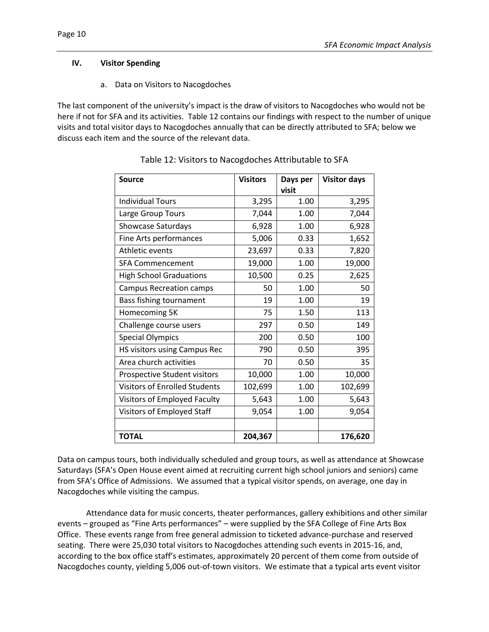#### **IV. Visitor Spending**

a. Data on Visitors to Nacogdoches

The last component of the university's impact is the draw of visitors to Nacogdoches who would not be here if not for SFA and its activities. Table 12 contains our findings with respect to the number of unique visits and total visitor days to Nacogdoches annually that can be directly attributed to SFA; below we discuss each item and the source of the relevant data.

| <b>Source</b>                        | <b>Visitors</b> | Days per<br>visit | <b>Visitor days</b> |
|--------------------------------------|-----------------|-------------------|---------------------|
| <b>Individual Tours</b>              | 3,295           | 1.00              | 3,295               |
| Large Group Tours                    | 7,044           | 1.00              | 7,044               |
| Showcase Saturdays                   | 6,928           | 1.00              | 6,928               |
| Fine Arts performances               | 5,006           | 0.33              | 1,652               |
| Athletic events                      | 23,697          | 0.33              | 7,820               |
| <b>SFA Commencement</b>              | 19,000          | 1.00              | 19,000              |
| <b>High School Graduations</b>       | 10,500          | 0.25              | 2,625               |
| <b>Campus Recreation camps</b>       | 50              | 1.00              | 50                  |
| Bass fishing tournament              | 19              | 1.00              | 19                  |
| Homecoming 5K                        | 75              | 1.50              | 113                 |
| Challenge course users               | 297             | 0.50              | 149                 |
| <b>Special Olympics</b>              | 200             | 0.50              | 100                 |
| HS visitors using Campus Rec         | 790             | 0.50              | 395                 |
| Area church activities               | 70              | 0.50              | 35                  |
| Prospective Student visitors         | 10,000          | 1.00              | 10,000              |
| <b>Visitors of Enrolled Students</b> | 102,699         | 1.00              | 102,699             |
| Visitors of Employed Faculty         | 5,643           | 1.00              | 5,643               |
| Visitors of Employed Staff           | 9,054           | 1.00              | 9,054               |
|                                      |                 |                   |                     |
| <b>TOTAL</b>                         | 204,367         |                   | 176,620             |

Table 12: Visitors to Nacogdoches Attributable to SFA

Data on campus tours, both individually scheduled and group tours, as well as attendance at Showcase Saturdays (SFA's Open House event aimed at recruiting current high school juniors and seniors) came from SFA's Office of Admissions. We assumed that a typical visitor spends, on average, one day in Nacogdoches while visiting the campus.

Attendance data for music concerts, theater performances, gallery exhibitions and other similar events – grouped as "Fine Arts performances" – were supplied by the SFA College of Fine Arts Box Office. These events range from free general admission to ticketed advance-purchase and reserved seating. There were 25,030 total visitors to Nacogdoches attending such events in 2015-16, and, according to the box office staff's estimates, approximately 20 percent of them come from outside of Nacogdoches county, yielding 5,006 out-of-town visitors. We estimate that a typical arts event visitor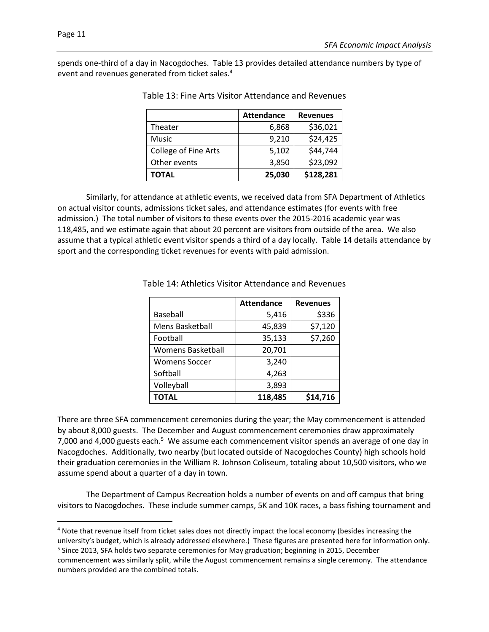$\overline{\phantom{a}}$ 

spends one-third of a day in Nacogdoches. Table 13 provides detailed attendance numbers by type of event and revenues generated from ticket sales.<sup>4</sup>

|                             | <b>Attendance</b> | <b>Revenues</b> |
|-----------------------------|-------------------|-----------------|
| Theater                     | 6,868             | \$36,021        |
| Music                       | 9,210             | \$24,425        |
| <b>College of Fine Arts</b> | 5,102             | \$44,744        |
| Other events                | 3,850             | \$23,092        |
| TOTAL                       | 25,030            | \$128,281       |

Similarly, for attendance at athletic events, we received data from SFA Department of Athletics on actual visitor counts, admissions ticket sales, and attendance estimates (for events with free admission.) The total number of visitors to these events over the 2015-2016 academic year was 118,485, and we estimate again that about 20 percent are visitors from outside of the area. We also assume that a typical athletic event visitor spends a third of a day locally. Table 14 details attendance by sport and the corresponding ticket revenues for events with paid admission.

|                          | <b>Attendance</b> | <b>Revenues</b> |
|--------------------------|-------------------|-----------------|
| <b>Baseball</b>          | 5,416             | \$336           |
| Mens Basketball          | 45,839            | \$7,120         |
| Football                 | 35,133            | \$7,260         |
| <b>Womens Basketball</b> | 20,701            |                 |
| <b>Womens Soccer</b>     | 3,240             |                 |
| Softball                 | 4,263             |                 |
| Volleyball               | 3,893             |                 |
| <b>TOTAL</b>             | 118,485           | \$14,716        |

Table 14: Athletics Visitor Attendance and Revenues

There are three SFA commencement ceremonies during the year; the May commencement is attended by about 8,000 guests. The December and August commencement ceremonies draw approximately 7,000 and 4,000 guests each.<sup>5</sup> We assume each commencement visitor spends an average of one day in Nacogdoches. Additionally, two nearby (but located outside of Nacogdoches County) high schools hold their graduation ceremonies in the William R. Johnson Coliseum, totaling about 10,500 visitors, who we assume spend about a quarter of a day in town.

The Department of Campus Recreation holds a number of events on and off campus that bring visitors to Nacogdoches. These include summer camps, 5K and 10K races, a bass fishing tournament and

<sup>4</sup> Note that revenue itself from ticket sales does not directly impact the local economy (besides increasing the university's budget, which is already addressed elsewhere.) These figures are presented here for information only. <sup>5</sup> Since 2013, SFA holds two separate ceremonies for May graduation; beginning in 2015, December commencement was similarly split, while the August commencement remains a single ceremony. The attendance numbers provided are the combined totals.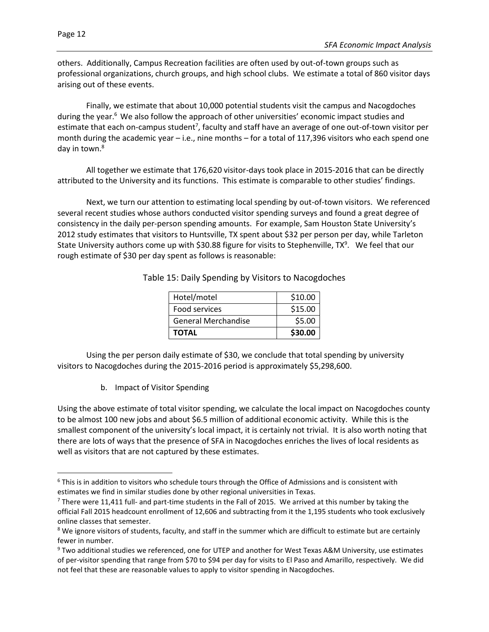$\overline{a}$ 

others. Additionally, Campus Recreation facilities are often used by out-of-town groups such as professional organizations, church groups, and high school clubs. We estimate a total of 860 visitor days arising out of these events.

Finally, we estimate that about 10,000 potential students visit the campus and Nacogdoches during the year.<sup>6</sup> We also follow the approach of other universities' economic impact studies and estimate that each on-campus student<sup>7</sup>, faculty and staff have an average of one out-of-town visitor per month during the academic year – i.e., nine months – for a total of 117,396 visitors who each spend one day in town.<sup>8</sup>

All together we estimate that 176,620 visitor-days took place in 2015-2016 that can be directly attributed to the University and its functions. This estimate is comparable to other studies' findings.

Next, we turn our attention to estimating local spending by out-of-town visitors. We referenced several recent studies whose authors conducted visitor spending surveys and found a great degree of consistency in the daily per-person spending amounts. For example, Sam Houston State University's 2012 study estimates that visitors to Huntsville, TX spent about \$32 per person per day, while Tarleton State University authors come up with \$30.88 figure for visits to Stephenville, TX<sup>9</sup>. We feel that our rough estimate of \$30 per day spent as follows is reasonable:

| Hotel/motel                | \$10.00 |
|----------------------------|---------|
| Food services              | \$15.00 |
| <b>General Merchandise</b> | \$5.00  |
| <b>TOTAL</b>               | \$30.00 |

Table 15: Daily Spending by Visitors to Nacogdoches

Using the per person daily estimate of \$30, we conclude that total spending by university visitors to Nacogdoches during the 2015-2016 period is approximately \$5,298,600.

b. Impact of Visitor Spending

Using the above estimate of total visitor spending, we calculate the local impact on Nacogdoches county to be almost 100 new jobs and about \$6.5 million of additional economic activity. While this is the smallest component of the university's local impact, it is certainly not trivial. It is also worth noting that there are lots of ways that the presence of SFA in Nacogdoches enriches the lives of local residents as well as visitors that are not captured by these estimates.

 $6$  This is in addition to visitors who schedule tours through the Office of Admissions and is consistent with estimates we find in similar studies done by other regional universities in Texas.

 $<sup>7</sup>$  There were 11,411 full- and part-time students in the Fall of 2015. We arrived at this number by taking the</sup> official Fall 2015 headcount enrollment of 12,606 and subtracting from it the 1,195 students who took exclusively online classes that semester.

<sup>&</sup>lt;sup>8</sup> We ignore visitors of students, faculty, and staff in the summer which are difficult to estimate but are certainly fewer in number.

<sup>9</sup> Two additional studies we referenced, one for UTEP and another for West Texas A&M University, use estimates of per-visitor spending that range from \$70 to \$94 per day for visits to El Paso and Amarillo, respectively. We did not feel that these are reasonable values to apply to visitor spending in Nacogdoches.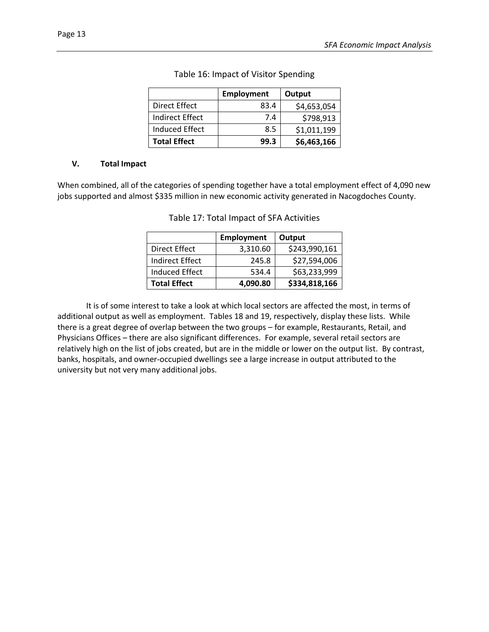|                     | <b>Employment</b> | Output      |
|---------------------|-------------------|-------------|
| Direct Effect       | 83.4              | \$4,653,054 |
| Indirect Effect     | 7.4               | \$798,913   |
| Induced Effect      | 8.5               | \$1,011,199 |
| <b>Total Effect</b> | 99.3              | \$6,463,166 |

# Table 16: Impact of Visitor Spending

#### **V. Total Impact**

When combined, all of the categories of spending together have a total employment effect of 4,090 new jobs supported and almost \$335 million in new economic activity generated in Nacogdoches County.

|                       | <b>Employment</b> | Output        |
|-----------------------|-------------------|---------------|
| Direct Effect         | 3,310.60          | \$243,990,161 |
| Indirect Effect       | 245.8             | \$27,594,006  |
| <b>Induced Effect</b> | 534.4             | \$63,233,999  |
| <b>Total Effect</b>   | 4,090.80          | \$334,818,166 |

Table 17: Total Impact of SFA Activities

It is of some interest to take a look at which local sectors are affected the most, in terms of additional output as well as employment. Tables 18 and 19, respectively, display these lists. While there is a great degree of overlap between the two groups – for example, Restaurants, Retail, and Physicians Offices – there are also significant differences. For example, several retail sectors are relatively high on the list of jobs created, but are in the middle or lower on the output list. By contrast, banks, hospitals, and owner-occupied dwellings see a large increase in output attributed to the university but not very many additional jobs.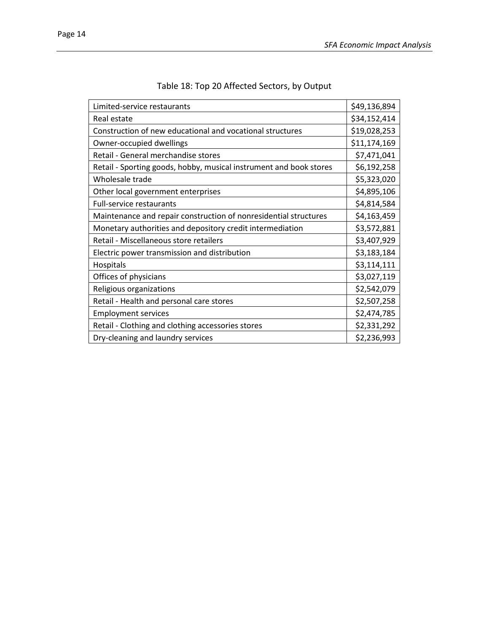| Limited-service restaurants                                        | \$49,136,894 |
|--------------------------------------------------------------------|--------------|
| Real estate                                                        | \$34,152,414 |
| Construction of new educational and vocational structures          | \$19,028,253 |
| Owner-occupied dwellings                                           | \$11,174,169 |
| Retail - General merchandise stores                                | \$7,471,041  |
| Retail - Sporting goods, hobby, musical instrument and book stores | \$6,192,258  |
| Wholesale trade                                                    | \$5,323,020  |
| Other local government enterprises                                 | \$4,895,106  |
| <b>Full-service restaurants</b>                                    | \$4,814,584  |
| Maintenance and repair construction of nonresidential structures   | \$4,163,459  |
| Monetary authorities and depository credit intermediation          | \$3,572,881  |
| Retail - Miscellaneous store retailers                             | \$3,407,929  |
| Electric power transmission and distribution                       | \$3,183,184  |
| Hospitals                                                          | \$3,114,111  |
| Offices of physicians                                              | \$3,027,119  |
| Religious organizations                                            | \$2,542,079  |
| Retail - Health and personal care stores                           | \$2,507,258  |
| <b>Employment services</b>                                         | \$2,474,785  |
| Retail - Clothing and clothing accessories stores                  | \$2,331,292  |
| Dry-cleaning and laundry services                                  | \$2,236,993  |

# Table 18: Top 20 Affected Sectors, by Output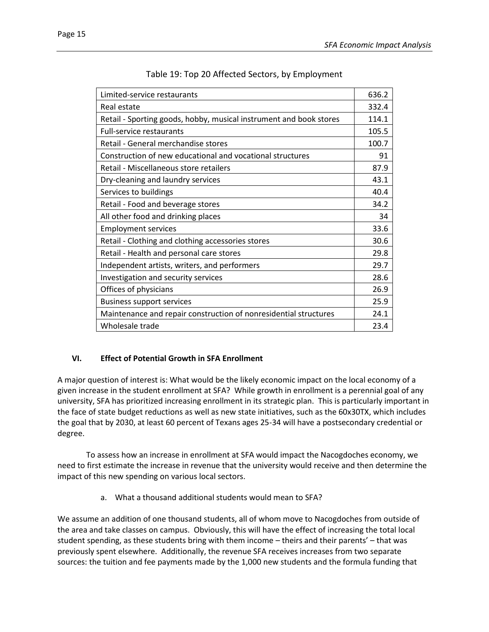| Limited-service restaurants                                        | 636.2 |
|--------------------------------------------------------------------|-------|
| Real estate                                                        | 332.4 |
| Retail - Sporting goods, hobby, musical instrument and book stores | 114.1 |
| <b>Full-service restaurants</b>                                    | 105.5 |
| Retail - General merchandise stores                                | 100.7 |
| Construction of new educational and vocational structures          | 91    |
| Retail - Miscellaneous store retailers                             | 87.9  |
| Dry-cleaning and laundry services                                  | 43.1  |
| Services to buildings                                              | 40.4  |
| Retail - Food and beverage stores                                  | 34.2  |
| All other food and drinking places                                 | 34    |
| <b>Employment services</b>                                         | 33.6  |
| Retail - Clothing and clothing accessories stores                  | 30.6  |
| Retail - Health and personal care stores                           | 29.8  |
| Independent artists, writers, and performers                       | 29.7  |
| Investigation and security services                                | 28.6  |
| Offices of physicians                                              | 26.9  |
| <b>Business support services</b>                                   | 25.9  |
| Maintenance and repair construction of nonresidential structures   | 24.1  |
| Wholesale trade                                                    | 23.4  |

| Table 19: Top 20 Affected Sectors, by Employment |  |
|--------------------------------------------------|--|
|--------------------------------------------------|--|

#### **VI. Effect of Potential Growth in SFA Enrollment**

A major question of interest is: What would be the likely economic impact on the local economy of a given increase in the student enrollment at SFA? While growth in enrollment is a perennial goal of any university, SFA has prioritized increasing enrollment in its strategic plan. This is particularly important in the face of state budget reductions as well as new state initiatives, such as the 60x30TX, which includes the goal that by 2030, at least 60 percent of Texans ages 25-34 will have a postsecondary credential or degree.

To assess how an increase in enrollment at SFA would impact the Nacogdoches economy, we need to first estimate the increase in revenue that the university would receive and then determine the impact of this new spending on various local sectors.

a. What a thousand additional students would mean to SFA?

We assume an addition of one thousand students, all of whom move to Nacogdoches from outside of the area and take classes on campus. Obviously, this will have the effect of increasing the total local student spending, as these students bring with them income – theirs and their parents' – that was previously spent elsewhere. Additionally, the revenue SFA receives increases from two separate sources: the tuition and fee payments made by the 1,000 new students and the formula funding that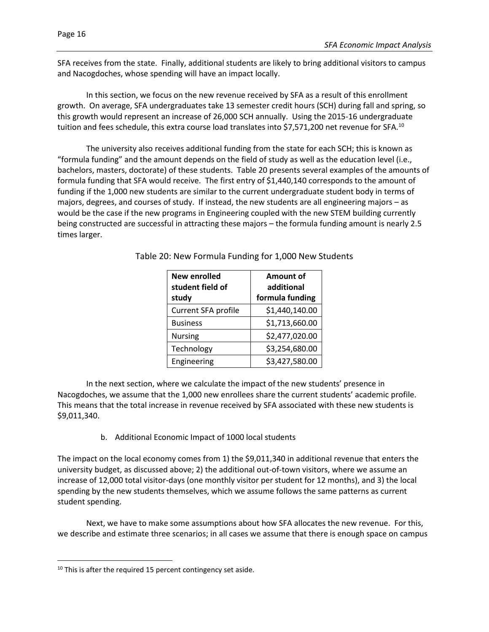SFA receives from the state. Finally, additional students are likely to bring additional visitors to campus and Nacogdoches, whose spending will have an impact locally.

In this section, we focus on the new revenue received by SFA as a result of this enrollment growth. On average, SFA undergraduates take 13 semester credit hours (SCH) during fall and spring, so this growth would represent an increase of 26,000 SCH annually. Using the 2015-16 undergraduate tuition and fees schedule, this extra course load translates into \$7,571,200 net revenue for SFA.<sup>10</sup>

The university also receives additional funding from the state for each SCH; this is known as "formula funding" and the amount depends on the field of study as well as the education level (i.e., bachelors, masters, doctorate) of these students. Table 20 presents several examples of the amounts of formula funding that SFA would receive. The first entry of \$1,440,140 corresponds to the amount of funding if the 1,000 new students are similar to the current undergraduate student body in terms of majors, degrees, and courses of study. If instead, the new students are all engineering majors – as would be the case if the new programs in Engineering coupled with the new STEM building currently being constructed are successful in attracting these majors – the formula funding amount is nearly 2.5 times larger.

| <b>New enrolled</b><br>student field of<br>study | Amount of<br>additional<br>formula funding |
|--------------------------------------------------|--------------------------------------------|
| Current SFA profile                              | \$1,440,140.00                             |
| <b>Business</b>                                  | \$1,713,660.00                             |
| <b>Nursing</b>                                   | \$2,477,020.00                             |
| Technology                                       | \$3,254,680.00                             |
| Engineering                                      | \$3,427,580.00                             |

Table 20: New Formula Funding for 1,000 New Students

In the next section, where we calculate the impact of the new students' presence in Nacogdoches, we assume that the 1,000 new enrollees share the current students' academic profile. This means that the total increase in revenue received by SFA associated with these new students is \$9,011,340.

b. Additional Economic Impact of 1000 local students

The impact on the local economy comes from 1) the \$9,011,340 in additional revenue that enters the university budget, as discussed above; 2) the additional out-of-town visitors, where we assume an increase of 12,000 total visitor-days (one monthly visitor per student for 12 months), and 3) the local spending by the new students themselves, which we assume follows the same patterns as current student spending.

Next, we have to make some assumptions about how SFA allocates the new revenue. For this, we describe and estimate three scenarios; in all cases we assume that there is enough space on campus

 $\overline{a}$ 

 $10$  This is after the required 15 percent contingency set aside.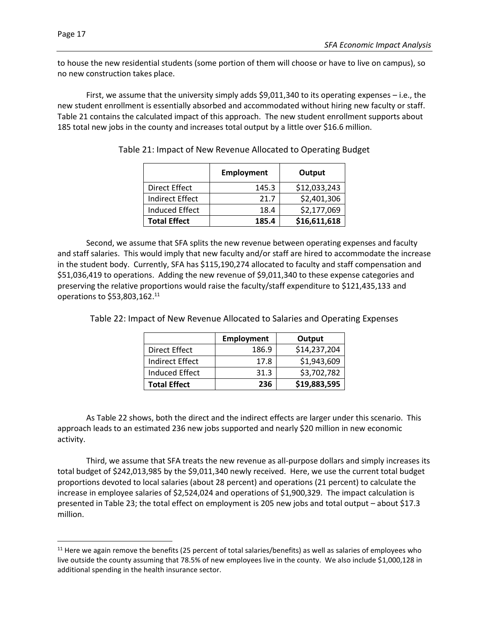$\overline{a}$ 

to house the new residential students (some portion of them will choose or have to live on campus), so no new construction takes place.

First, we assume that the university simply adds \$9,011,340 to its operating expenses – i.e., the new student enrollment is essentially absorbed and accommodated without hiring new faculty or staff. Table 21 contains the calculated impact of this approach. The new student enrollment supports about 185 total new jobs in the county and increases total output by a little over \$16.6 million.

|                     | <b>Employment</b> | Output       |
|---------------------|-------------------|--------------|
| Direct Effect       | 145.3             | \$12,033,243 |
| Indirect Effect     | 21.7              | \$2,401,306  |
| Induced Effect      | 18.4              | \$2,177,069  |
| <b>Total Effect</b> | 185.4             | \$16,611,618 |

Table 21: Impact of New Revenue Allocated to Operating Budget

Second, we assume that SFA splits the new revenue between operating expenses and faculty and staff salaries. This would imply that new faculty and/or staff are hired to accommodate the increase in the student body. Currently, SFA has \$115,190,274 allocated to faculty and staff compensation and \$51,036,419 to operations. Adding the new revenue of \$9,011,340 to these expense categories and preserving the relative proportions would raise the faculty/staff expenditure to \$121,435,133 and operations to \$53,803,162.<sup>11</sup>

|                     | <b>Employment</b> | Output       |
|---------------------|-------------------|--------------|
| Direct Effect       | 186.9             | \$14,237,204 |
| Indirect Effect     | 17.8              | \$1,943,609  |
| Induced Effect      | 31.3              | \$3,702,782  |
| <b>Total Effect</b> | 236               | \$19,883,595 |

Table 22: Impact of New Revenue Allocated to Salaries and Operating Expenses

As Table 22 shows, both the direct and the indirect effects are larger under this scenario. This approach leads to an estimated 236 new jobs supported and nearly \$20 million in new economic activity.

Third, we assume that SFA treats the new revenue as all-purpose dollars and simply increases its total budget of \$242,013,985 by the \$9,011,340 newly received. Here, we use the current total budget proportions devoted to local salaries (about 28 percent) and operations (21 percent) to calculate the increase in employee salaries of \$2,524,024 and operations of \$1,900,329. The impact calculation is presented in Table 23; the total effect on employment is 205 new jobs and total output – about \$17.3 million.

 $11$  Here we again remove the benefits (25 percent of total salaries/benefits) as well as salaries of employees who live outside the county assuming that 78.5% of new employees live in the county. We also include \$1,000,128 in additional spending in the health insurance sector.